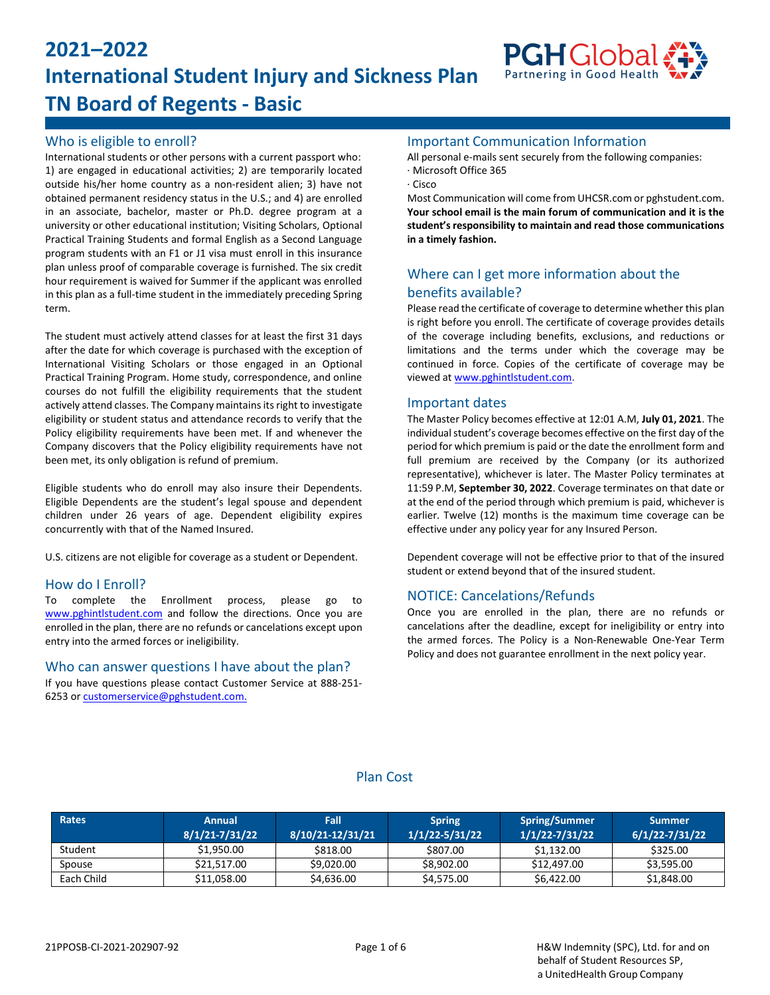# **2021–2022 International Student Injury and Sickness Plan TN Board of Regents - Basic**



# Who is eligible to enroll?

International students or other persons with a current passport who: 1) are engaged in educational activities; 2) are temporarily located outside his/her home country as a non-resident alien; 3) have not obtained permanent residency status in the U.S.; and 4) are enrolled in an associate, bachelor, master or Ph.D. degree program at a university or other educational institution; Visiting Scholars, Optional Practical Training Students and formal English as a Second Language program students with an F1 or J1 visa must enroll in this insurance plan unless proof of comparable coverage is furnished. The six credit hour requirement is waived for Summer if the applicant was enrolled in this plan as a full-time student in the immediately preceding Spring term.

The student must actively attend classes for at least the first 31 days after the date for which coverage is purchased with the exception of International Visiting Scholars or those engaged in an Optional Practical Training Program. Home study, correspondence, and online courses do not fulfill the eligibility requirements that the student actively attend classes. The Company maintains its right to investigate eligibility or student status and attendance records to verify that the Policy eligibility requirements have been met. If and whenever the Company discovers that the Policy eligibility requirements have not been met, its only obligation is refund of premium.

Eligible students who do enroll may also insure their Dependents. Eligible Dependents are the student's legal spouse and dependent children under 26 years of age. Dependent eligibility expires concurrently with that of the Named Insured.

U.S. citizens are not eligible for coverage as a student or Dependent.

### How do I Enroll?

To complete the Enrollment process, please go to [www.pghintlstudent.com](https://www.pghintlstudent.com/school_page/tennessee-board-of-regents/home-tennessee-board-of-regents/) and follow the directions. Once you are enrolled in the plan, there are no refunds or cancelations except upon entry into the armed forces or ineligibility.

### Who can answer questions I have about the plan?

If you have questions please contact Customer Service at 888-251- 6253 or [customerservice@pghstudent.com.](mailto:customerservice@pghstudent.com)

### Important Communication Information

All personal e-mails sent securely from the following companies:

- · Microsoft Office 365
- · Cisco

Most Communication will come from UHCSR.com or pghstudent.com. **Your school email is the main forum of communication and it is the student'sresponsibility to maintain and read those communications in a timely fashion.**

# Where can I get more information about the benefits available?

Please read the certificate of coverage to determine whether this plan is right before you enroll. The certificate of coverage provides details of the coverage including benefits, exclusions, and reductions or limitations and the terms under which the coverage may be continued in force. Copies of the certificate of coverage may be viewed at [www.pghintlstudent.com.](https://www.pghintlstudent.com/school_page/tennessee-board-of-regents/home-tennessee-board-of-regents/)

### Important dates

The Master Policy becomes effective at 12:01 A.M, **July 01, 2021**. The individual student's coverage becomes effective on the first day of the period for which premium is paid or the date the enrollment form and full premium are received by the Company (or its authorized representative), whichever is later. The Master Policy terminates at 11:59 P.M, **September 30, 2022**. Coverage terminates on that date or at the end of the period through which premium is paid, whichever is earlier. Twelve (12) months is the maximum time coverage can be effective under any policy year for any Insured Person.

Dependent coverage will not be effective prior to that of the insured student or extend beyond that of the insured student.

### NOTICE: Cancelations/Refunds

Once you are enrolled in the plan, there are no refunds or cancelations after the deadline, except for ineligibility or entry into the armed forces. The Policy is a Non-Renewable One-Year Term Policy and does not guarantee enrollment in the next policy year.

### Plan Cost

| Rates      | <b>Annual</b><br>8/1/21-7/31/22 | <b>Fall</b><br>8/10/21-12/31/21 | <b>Spring</b><br>$1/1/22 - 5/31/22$ | <b>Spring/Summer</b><br>$1/1/22 - 7/31/22$ | <b>Summer</b><br>$6/1/22 - 7/31/22$ |
|------------|---------------------------------|---------------------------------|-------------------------------------|--------------------------------------------|-------------------------------------|
| Student    | \$1,950.00                      | \$818.00                        | \$807.00                            | \$1,132.00                                 | \$325.00                            |
| Spouse     | \$21,517.00                     | \$9,020,00                      | \$8,902.00                          | \$12,497.00                                | \$3,595.00                          |
| Each Child | \$11,058.00                     | \$4,636.00                      | \$4,575.00                          | \$6,422.00                                 | \$1,848.00                          |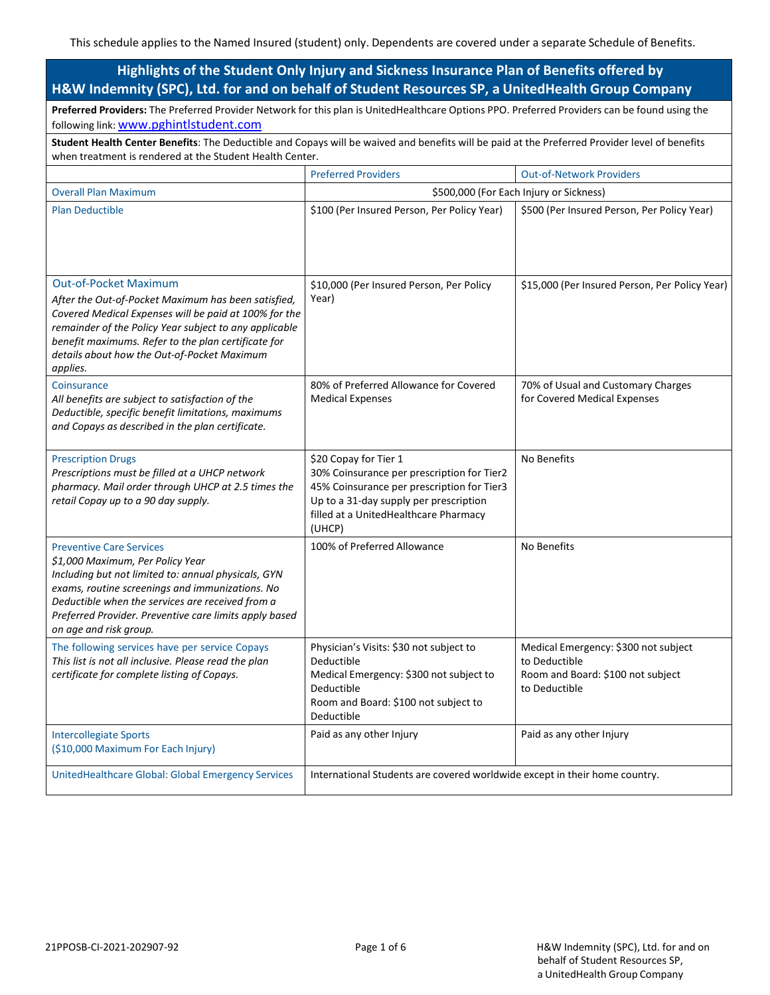# **Highlights of the Student Only Injury and Sickness Insurance Plan of Benefits offered by H&W Indemnity (SPC), Ltd. for and on behalf of Student Resources SP, a UnitedHealth Group Company**

**Preferred Providers:** The Preferred Provider Network for this plan is UnitedHealthcare Options PPO. Preferred Providers can be found using the following link: [www.pghintlstudent.com](https://www.pghintlstudent.com/school_page/tennessee-board-of-regents/home-tennessee-board-of-regents/)

**Student Health Center Benefits**: The Deductible and Copays will be waived and benefits will be paid at the Preferred Provider level of benefits when treatment is rendered at the Student Health Center.

|                                                                                                                                                                                                                                                                                                                          | <b>Preferred Providers</b>                                                                                                                                                                                     | <b>Out-of-Network Providers</b>                                                                             |
|--------------------------------------------------------------------------------------------------------------------------------------------------------------------------------------------------------------------------------------------------------------------------------------------------------------------------|----------------------------------------------------------------------------------------------------------------------------------------------------------------------------------------------------------------|-------------------------------------------------------------------------------------------------------------|
| <b>Overall Plan Maximum</b>                                                                                                                                                                                                                                                                                              | \$500,000 (For Each Injury or Sickness)                                                                                                                                                                        |                                                                                                             |
| <b>Plan Deductible</b>                                                                                                                                                                                                                                                                                                   | \$100 (Per Insured Person, Per Policy Year)                                                                                                                                                                    | \$500 (Per Insured Person, Per Policy Year)                                                                 |
| <b>Out-of-Pocket Maximum</b><br>After the Out-of-Pocket Maximum has been satisfied,<br>Covered Medical Expenses will be paid at 100% for the<br>remainder of the Policy Year subject to any applicable<br>benefit maximums. Refer to the plan certificate for<br>details about how the Out-of-Pocket Maximum<br>applies. | \$10,000 (Per Insured Person, Per Policy<br>Year)                                                                                                                                                              | \$15,000 (Per Insured Person, Per Policy Year)                                                              |
| Coinsurance<br>All benefits are subject to satisfaction of the<br>Deductible, specific benefit limitations, maximums<br>and Copays as described in the plan certificate.                                                                                                                                                 | 80% of Preferred Allowance for Covered<br><b>Medical Expenses</b>                                                                                                                                              | 70% of Usual and Customary Charges<br>for Covered Medical Expenses                                          |
| <b>Prescription Drugs</b><br>Prescriptions must be filled at a UHCP network<br>pharmacy. Mail order through UHCP at 2.5 times the<br>retail Copay up to a 90 day supply.                                                                                                                                                 | \$20 Copay for Tier 1<br>30% Coinsurance per prescription for Tier2<br>45% Coinsurance per prescription for Tier3<br>Up to a 31-day supply per prescription<br>filled at a UnitedHealthcare Pharmacy<br>(UHCP) | No Benefits                                                                                                 |
| <b>Preventive Care Services</b><br>\$1,000 Maximum, Per Policy Year<br>Including but not limited to: annual physicals, GYN<br>exams, routine screenings and immunizations. No<br>Deductible when the services are received from a<br>Preferred Provider. Preventive care limits apply based<br>on age and risk group.    | 100% of Preferred Allowance                                                                                                                                                                                    | No Benefits                                                                                                 |
| The following services have per service Copays<br>This list is not all inclusive. Please read the plan<br>certificate for complete listing of Copays.                                                                                                                                                                    | Physician's Visits: \$30 not subject to<br>Deductible<br>Medical Emergency: \$300 not subject to<br>Deductible<br>Room and Board: \$100 not subject to<br>Deductible                                           | Medical Emergency: \$300 not subject<br>to Deductible<br>Room and Board: \$100 not subject<br>to Deductible |
| <b>Intercollegiate Sports</b><br>(\$10,000 Maximum For Each Injury)                                                                                                                                                                                                                                                      | Paid as any other Injury                                                                                                                                                                                       | Paid as any other Injury                                                                                    |
| UnitedHealthcare Global: Global Emergency Services                                                                                                                                                                                                                                                                       | International Students are covered worldwide except in their home country.                                                                                                                                     |                                                                                                             |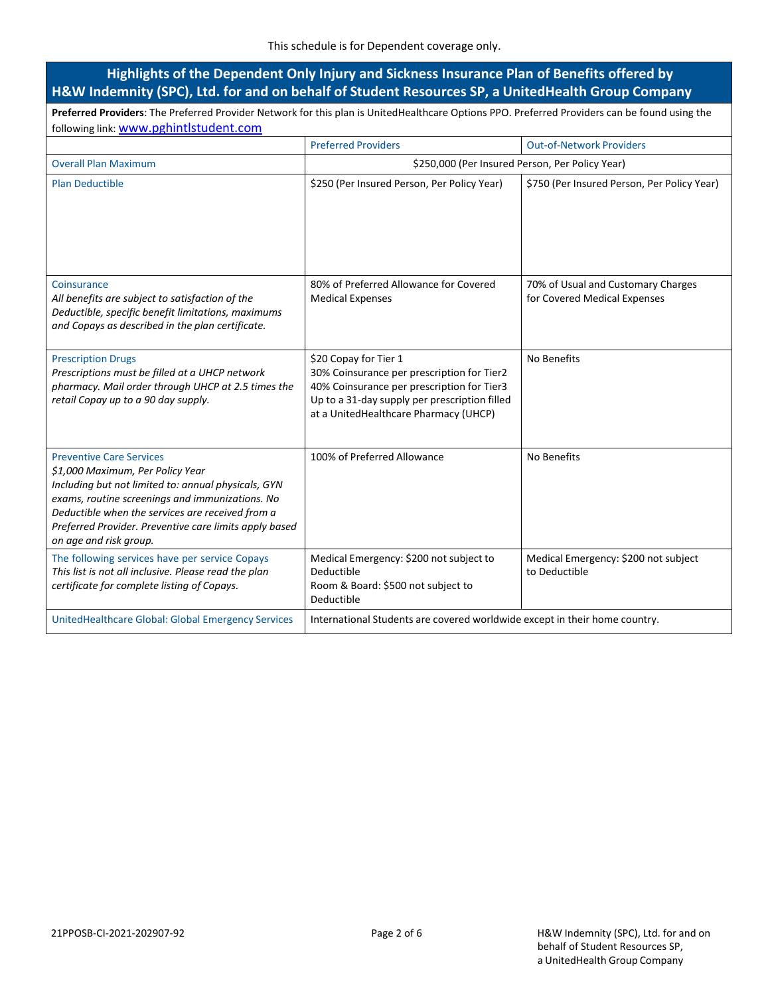# **Highlights of the Dependent Only Injury and Sickness Insurance Plan of Benefits offered by H&W Indemnity (SPC), Ltd. for and on behalf of Student Resources SP, a UnitedHealth Group Company**

**Preferred Providers**: The Preferred Provider Network for this plan is UnitedHealthcare Options PPO. Preferred Providers can be found using the following link: [www.pghintlstudent.com](https://www.pghintlstudent.com/school_page/tennessee-board-of-regents/home-tennessee-board-of-regents/)

|                                                                                                                                                                                                                                                                                                                       | <b>Preferred Providers</b>                                                                                                                                                                                  | <b>Out-of-Network Providers</b>                                    |  |
|-----------------------------------------------------------------------------------------------------------------------------------------------------------------------------------------------------------------------------------------------------------------------------------------------------------------------|-------------------------------------------------------------------------------------------------------------------------------------------------------------------------------------------------------------|--------------------------------------------------------------------|--|
| <b>Overall Plan Maximum</b>                                                                                                                                                                                                                                                                                           | \$250,000 (Per Insured Person, Per Policy Year)                                                                                                                                                             |                                                                    |  |
| <b>Plan Deductible</b>                                                                                                                                                                                                                                                                                                | \$250 (Per Insured Person, Per Policy Year)                                                                                                                                                                 | \$750 (Per Insured Person, Per Policy Year)                        |  |
| Coinsurance<br>All benefits are subject to satisfaction of the<br>Deductible, specific benefit limitations, maximums<br>and Copays as described in the plan certificate.                                                                                                                                              | 80% of Preferred Allowance for Covered<br><b>Medical Expenses</b>                                                                                                                                           | 70% of Usual and Customary Charges<br>for Covered Medical Expenses |  |
| <b>Prescription Drugs</b><br>Prescriptions must be filled at a UHCP network<br>pharmacy. Mail order through UHCP at 2.5 times the<br>retail Copay up to a 90 day supply.                                                                                                                                              | \$20 Copay for Tier 1<br>30% Coinsurance per prescription for Tier2<br>40% Coinsurance per prescription for Tier3<br>Up to a 31-day supply per prescription filled<br>at a UnitedHealthcare Pharmacy (UHCP) | No Benefits                                                        |  |
| <b>Preventive Care Services</b><br>\$1,000 Maximum, Per Policy Year<br>Including but not limited to: annual physicals, GYN<br>exams, routine screenings and immunizations. No<br>Deductible when the services are received from a<br>Preferred Provider. Preventive care limits apply based<br>on age and risk group. | 100% of Preferred Allowance                                                                                                                                                                                 | No Benefits                                                        |  |
| The following services have per service Copays<br>This list is not all inclusive. Please read the plan<br>certificate for complete listing of Copays.                                                                                                                                                                 | Medical Emergency: \$200 not subject to<br>Deductible<br>Room & Board: \$500 not subject to<br>Deductible                                                                                                   | Medical Emergency: \$200 not subject<br>to Deductible              |  |
| UnitedHealthcare Global: Global Emergency Services                                                                                                                                                                                                                                                                    | International Students are covered worldwide except in their home country.                                                                                                                                  |                                                                    |  |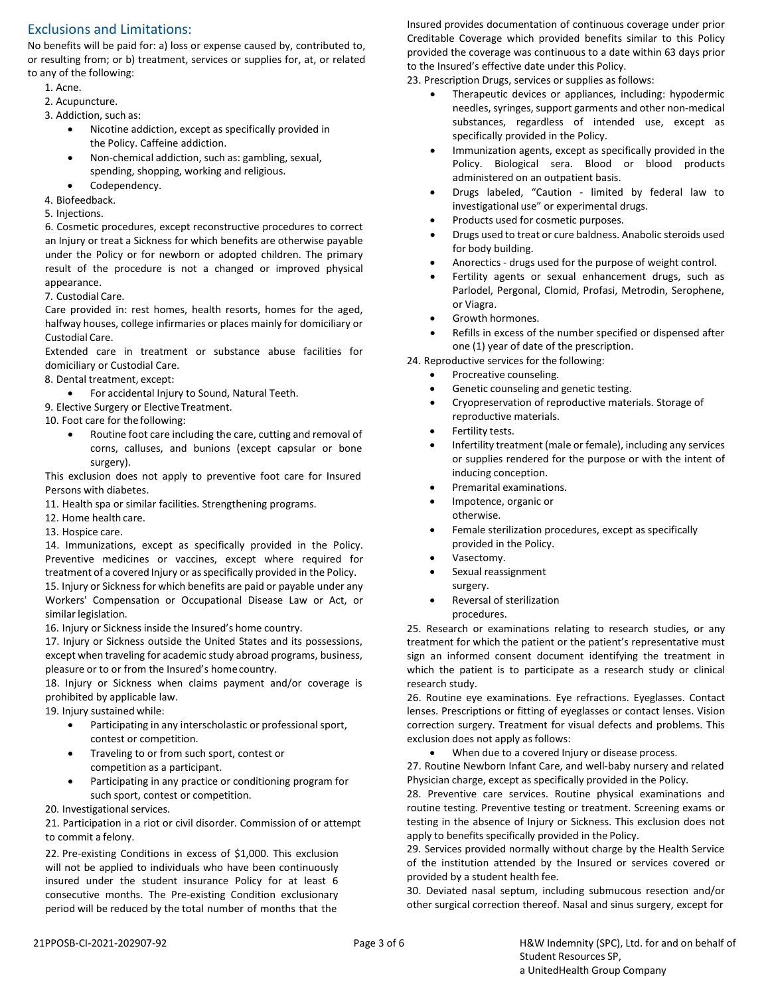# Exclusions and Limitations:

No benefits will be paid for: a) loss or expense caused by, contributed to, or resulting from; or b) treatment, services or supplies for, at, or related to any of the following:

- 1. Acne.
- 2. Acupuncture.
- 3. Addiction, such as:
	- Nicotine addiction, except as specifically provided in the Policy. Caffeine addiction.
	- Non-chemical addiction, such as: gambling, sexual, spending, shopping, working and religious.
	- Codependency.
- 4. Biofeedback.
- 5. Injections.

6. Cosmetic procedures, except reconstructive procedures to correct an Injury or treat a Sickness for which benefits are otherwise payable under the Policy or for newborn or adopted children. The primary result of the procedure is not a changed or improved physical appearance.

7. Custodial Care.

Care provided in: rest homes, health resorts, homes for the aged, halfway houses, college infirmaries or places mainly for domiciliary or Custodial Care.

Extended care in treatment or substance abuse facilities for domiciliary or Custodial Care.

- 8. Dental treatment, except:
	- For accidental Injury to Sound, Natural Teeth.
- 9. Elective Surgery or Elective Treatment.
- 10. Foot care for the following:
	- Routine foot care including the care, cutting and removal of corns, calluses, and bunions (except capsular or bone surgery).

This exclusion does not apply to preventive foot care for Insured Persons with diabetes.

- 11. Health spa or similar facilities. Strengthening programs.
- 12. Home health care.
- 13. Hospice care.

14. Immunizations, except as specifically provided in the Policy. Preventive medicines or vaccines, except where required for treatment of a covered Injury or asspecifically provided in the Policy. 15. Injury or Sickness for which benefits are paid or payable under any Workers' Compensation or Occupational Disease Law or Act, or similar legislation.

16. Injury or Sickness inside the Insured's home country.

17. Injury or Sickness outside the United States and its possessions, except when traveling for academic study abroad programs, business, pleasure or to or from the Insured's homecountry.

18. Injury or Sickness when claims payment and/or coverage is prohibited by applicable law.

19. Injury sustained while:

- Participating in any interscholastic or professional sport, contest or competition.
- Traveling to or from such sport, contest or competition as a participant.
- Participating in any practice or conditioning program for such sport, contest or competition.

20. Investigational services.

21. Participation in a riot or civil disorder. Commission of or attempt to commit a felony.

22. Pre-existing Conditions in excess of \$1,000. This exclusion will not be applied to individuals who have been continuously insured under the student insurance Policy for at least 6 consecutive months. The Pre-existing Condition exclusionary period will be reduced by the total number of months that the

Insured provides documentation of continuous coverage under prior Creditable Coverage which provided benefits similar to this Policy provided the coverage was continuous to a date within 63 days prior to the Insured's effective date under this Policy.

23. Prescription Drugs, services or supplies as follows:

- Therapeutic devices or appliances, including: hypodermic needles, syringes, support garments and other non-medical substances, regardless of intended use, except as specifically provided in the Policy.
- Immunization agents, except as specifically provided in the Policy. Biological sera. Blood or blood products administered on an outpatient basis.
- Drugs labeled, "Caution limited by federal law to investigational use" or experimental drugs.
- Products used for cosmetic purposes.
- Drugs used to treat or cure baldness. Anabolic steroids used for body building.
- Anorectics drugs used for the purpose of weight control.
- Fertility agents or sexual enhancement drugs, such as Parlodel, Pergonal, Clomid, Profasi, Metrodin, Serophene, or Viagra.
- Growth hormones.
- Refills in excess of the number specified or dispensed after one (1) year of date of the prescription.

24. Reproductive services for the following:

- Procreative counseling.
- Genetic counseling and genetic testing.
- Cryopreservation of reproductive materials. Storage of reproductive materials.
- Fertility tests.
- Infertility treatment (male or female), including any services or supplies rendered for the purpose or with the intent of inducing conception.
- Premarital examinations.
- Impotence, organic or otherwise.
- Female sterilization procedures, except as specifically provided in the Policy.
- Vasectomy.
- Sexual reassignment surgery.
- Reversal of sterilization procedures.

25. Research or examinations relating to research studies, or any treatment for which the patient or the patient's representative must sign an informed consent document identifying the treatment in which the patient is to participate as a research study or clinical research study.

26. Routine eye examinations. Eye refractions. Eyeglasses. Contact lenses. Prescriptions or fitting of eyeglasses or contact lenses. Vision correction surgery. Treatment for visual defects and problems. This exclusion does not apply as follows:

When due to a covered Injury or disease process.

27. Routine Newborn Infant Care, and well-baby nursery and related Physician charge, except as specifically provided in the Policy.

28. Preventive care services. Routine physical examinations and routine testing. Preventive testing or treatment. Screening exams or testing in the absence of Injury or Sickness. This exclusion does not apply to benefits specifically provided in the Policy.

29. Services provided normally without charge by the Health Service of the institution attended by the Insured or services covered or provided by a student health fee.

30. Deviated nasal septum, including submucous resection and/or other surgical correction thereof. Nasal and sinus surgery, except for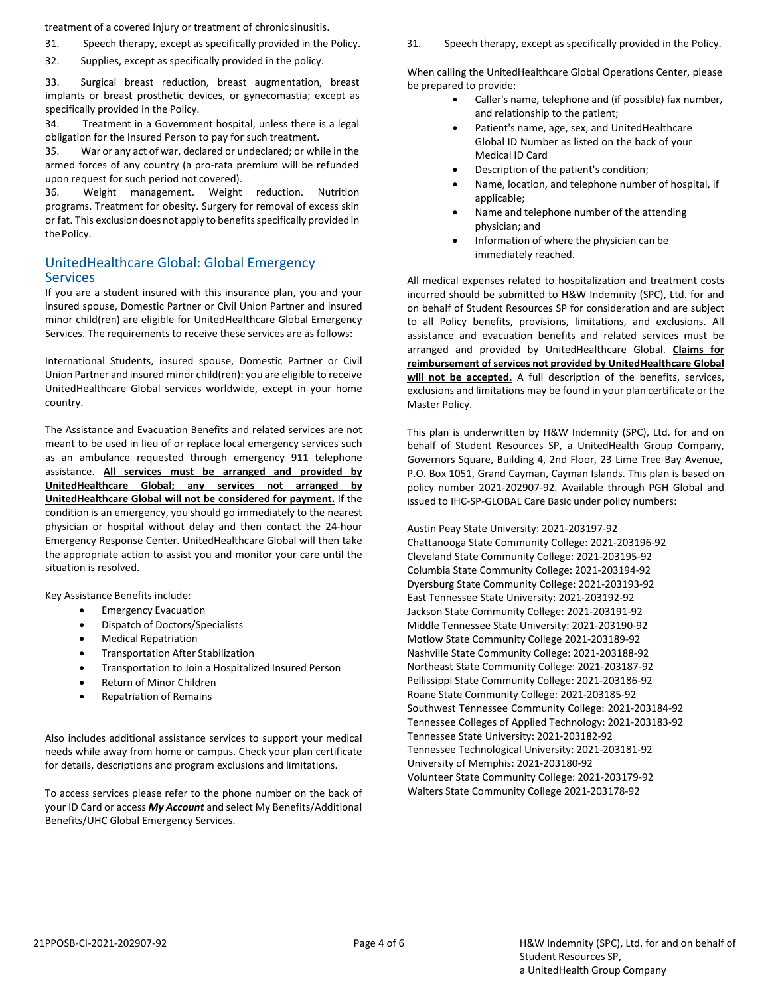treatment of a covered Injury or treatment of chronicsinusitis.

- 
- 32. Supplies, except as specifically provided in the policy.

33. Surgical breast reduction, breast augmentation, breast implants or breast prosthetic devices, or gynecomastia; except as specifically provided in the Policy.

34. Treatment in a Government hospital, unless there is a legal obligation for the Insured Person to pay for such treatment.

35. War or any act of war, declared or undeclared; or while in the armed forces of any country (a pro-rata premium will be refunded upon request for such period not covered).

36. Weight management. Weight reduction. Nutrition programs. Treatment for obesity. Surgery for removal of excess skin or fat. This exclusiondoesnot apply to benefitsspecifically provided in the Policy.

### UnitedHealthcare Global: Global Emergency **Services**

If you are a student insured with this insurance plan, you and your insured spouse, Domestic Partner or Civil Union Partner and insured minor child(ren) are eligible for UnitedHealthcare Global Emergency Services. The requirements to receive these services are as follows:

International Students, insured spouse, Domestic Partner or Civil Union Partner and insured minor child(ren): you are eligible to receive UnitedHealthcare Global services worldwide, except in your home country.

The Assistance and Evacuation Benefits and related services are not meant to be used in lieu of or replace local emergency services such as an ambulance requested through emergency 911 telephone assistance. **All services must be arranged and provided by UnitedHealthcare Global; any services not arranged by UnitedHealthcare Global will not be considered for payment.** If the condition is an emergency, you should go immediately to the nearest physician or hospital without delay and then contact the 24-hour Emergency Response Center. UnitedHealthcare Global will then take the appropriate action to assist you and monitor your care until the situation is resolved.

Key Assistance Benefits include:

- Emergency Evacuation
- Dispatch of Doctors/Specialists
- Medical Repatriation
- Transportation After Stabilization
- Transportation to Join a Hospitalized Insured Person
- Return of Minor Children
- Repatriation of Remains

Also includes additional assistance services to support your medical needs while away from home or campus. Check your plan certificate for details, descriptions and program exclusions and limitations.

To access services please refer to the phone number on the back of your ID Card or access *My Account* and select My Benefits/Additional Benefits/UHC Global Emergency Services.

31. Speech therapy, except as specifically provided in the Policy. 31. Speech therapy, except as specifically provided in the Policy.

When calling the UnitedHealthcare Global Operations Center, please be prepared to provide:

- Caller's name, telephone and (if possible) fax number, and relationship to the patient;
- Patient's name, age, sex, and UnitedHealthcare Global ID Number as listed on the back of your Medical ID Card
- Description of the patient's condition;
- Name, location, and telephone number of hospital, if applicable;
- Name and telephone number of the attending physician; and
- Information of where the physician can be immediately reached.

All medical expenses related to hospitalization and treatment costs incurred should be submitted to H&W Indemnity (SPC), Ltd. for and on behalf of Student Resources SP for consideration and are subject to all Policy benefits, provisions, limitations, and exclusions. All assistance and evacuation benefits and related services must be arranged and provided by UnitedHealthcare Global. **Claims for reimbursement of services not provided by UnitedHealthcare Global** will not be accepted. A full description of the benefits, services, exclusions and limitations may be found in your plan certificate or the Master Policy.

This plan is underwritten by H&W Indemnity (SPC), Ltd. for and on behalf of Student Resources SP, a UnitedHealth Group Company, Governors Square, Building 4, 2nd Floor, 23 Lime Tree Bay Avenue, P.O. Box 1051, Grand Cayman, Cayman Islands. This plan is based on policy number 2021-202907-92. Available through PGH Global and issued to IHC-SP-GLOBAL Care Basic under policy numbers:

Austin Peay State University: 2021-203197-92 Chattanooga State Community College: 2021-203196-92 Cleveland State Community College: 2021-203195-92 Columbia State Community College: 2021-203194-92 Dyersburg State Community College: 2021-203193-92 East Tennessee State University: 2021-203192-92 Jackson State Community College: 2021-203191-92 Middle Tennessee State University: 2021-203190-92 Motlow State Community College 2021-203189-92 Nashville State Community College: 2021-203188-92 Northeast State Community College: 2021-203187-92 Pellissippi State Community College: 2021-203186-92 Roane State Community College: 2021-203185-92 Southwest Tennessee Community College: 2021-203184-92 Tennessee Colleges of Applied Technology: 2021-203183-92 Tennessee State University: 2021-203182-92 Tennessee Technological University: 2021-203181-92 University of Memphis: 2021-203180-92 Volunteer State Community College: 2021-203179-92 Walters State Community College 2021-203178-92